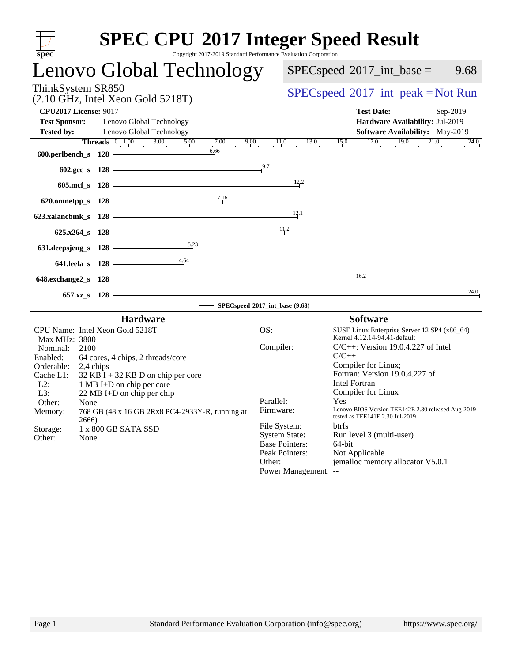| spec <sup>®</sup>                                                                                                                                                                                                                                                                                                                                                                                                                         | <b>SPEC CPU®2017 Integer Speed Result</b><br>Copyright 2017-2019 Standard Performance Evaluation Corporation                                                                                                                                                                                                                                                                                                                                                                                                                                                                                                           |
|-------------------------------------------------------------------------------------------------------------------------------------------------------------------------------------------------------------------------------------------------------------------------------------------------------------------------------------------------------------------------------------------------------------------------------------------|------------------------------------------------------------------------------------------------------------------------------------------------------------------------------------------------------------------------------------------------------------------------------------------------------------------------------------------------------------------------------------------------------------------------------------------------------------------------------------------------------------------------------------------------------------------------------------------------------------------------|
| Lenovo Global Technology                                                                                                                                                                                                                                                                                                                                                                                                                  | $SPEC speed^{\circ}2017\_int\_base =$<br>9.68                                                                                                                                                                                                                                                                                                                                                                                                                                                                                                                                                                          |
| ThinkSystem SR850<br>$(2.10 \text{ GHz}, \text{Intel Xeon Gold } 5218 \text{T})$                                                                                                                                                                                                                                                                                                                                                          | $SPEC speed^{\circ}2017\_int\_peak = Not Run$                                                                                                                                                                                                                                                                                                                                                                                                                                                                                                                                                                          |
| <b>CPU2017 License: 9017</b><br><b>Test Sponsor:</b><br>Lenovo Global Technology<br><b>Tested by:</b><br>Lenovo Global Technology                                                                                                                                                                                                                                                                                                         | <b>Test Date:</b><br>Sep-2019<br>Hardware Availability: Jul-2019<br>Software Availability: May-2019                                                                                                                                                                                                                                                                                                                                                                                                                                                                                                                    |
| <b>Threads</b> $\begin{bmatrix} 0 & 1.00 & 3.00 & 5.00 & 7.00 \end{bmatrix}$<br>9.00<br>6.66<br>600.perlbench_s 128                                                                                                                                                                                                                                                                                                                       | $17.0$ $19.0$ $21.0$<br>$\frac{11.0}{1}$<br>$13.0$ $15.0$ $15.0$<br>24.0                                                                                                                                                                                                                                                                                                                                                                                                                                                                                                                                               |
| 602.gcc_s 128                                                                                                                                                                                                                                                                                                                                                                                                                             | 9.71                                                                                                                                                                                                                                                                                                                                                                                                                                                                                                                                                                                                                   |
| 605.mcf s 128                                                                                                                                                                                                                                                                                                                                                                                                                             | 12.2                                                                                                                                                                                                                                                                                                                                                                                                                                                                                                                                                                                                                   |
| 7.16<br>620.omnetpp_s 128                                                                                                                                                                                                                                                                                                                                                                                                                 | 12.1                                                                                                                                                                                                                                                                                                                                                                                                                                                                                                                                                                                                                   |
| 623.xalancbmk_s 128<br>625.x264_s 128                                                                                                                                                                                                                                                                                                                                                                                                     | 11,2                                                                                                                                                                                                                                                                                                                                                                                                                                                                                                                                                                                                                   |
| 5.23<br>631.deepsjeng_s 128                                                                                                                                                                                                                                                                                                                                                                                                               |                                                                                                                                                                                                                                                                                                                                                                                                                                                                                                                                                                                                                        |
| 4.64<br>641.leela_s 128                                                                                                                                                                                                                                                                                                                                                                                                                   |                                                                                                                                                                                                                                                                                                                                                                                                                                                                                                                                                                                                                        |
| 648.exchange2_s 128                                                                                                                                                                                                                                                                                                                                                                                                                       | 16.2                                                                                                                                                                                                                                                                                                                                                                                                                                                                                                                                                                                                                   |
| 657.xz <sub>_8</sub> 128                                                                                                                                                                                                                                                                                                                                                                                                                  | 24.0<br>SPECspeed®2017_int_base (9.68)                                                                                                                                                                                                                                                                                                                                                                                                                                                                                                                                                                                 |
| <b>Hardware</b>                                                                                                                                                                                                                                                                                                                                                                                                                           | <b>Software</b>                                                                                                                                                                                                                                                                                                                                                                                                                                                                                                                                                                                                        |
| CPU Name: Intel Xeon Gold 5218T<br>Max MHz: 3800<br>2100<br>Nominal:<br>Enabled:<br>64 cores, 4 chips, 2 threads/core<br>Orderable:<br>2,4 chips<br>Cache L1:<br>$32$ KB I + 32 KB D on chip per core<br>$L2$ :<br>1 MB I+D on chip per core<br>L3:<br>$22 \text{ MB I+D}$ on chip per chip<br>Other:<br>None<br>768 GB (48 x 16 GB 2Rx8 PC4-2933Y-R, running at<br>Memory:<br>2666)<br>Storage:<br>1 x 800 GB SATA SSD<br>Other:<br>None | OS:<br>SUSE Linux Enterprise Server 12 SP4 (x86_64)<br>Kernel 4.12.14-94.41-default<br>Compiler:<br>$C/C++$ : Version 19.0.4.227 of Intel<br>$C/C++$<br>Compiler for Linux;<br>Fortran: Version 19.0.4.227 of<br><b>Intel Fortran</b><br>Compiler for Linux<br>Parallel:<br>Yes<br>Lenovo BIOS Version TEE142E 2.30 released Aug-2019<br>Firmware:<br>tested as TEE141E 2.30 Jul-2019<br>File System:<br><b>btrfs</b><br><b>System State:</b><br>Run level 3 (multi-user)<br><b>Base Pointers:</b><br>64-bit<br>Peak Pointers:<br>Not Applicable<br>jemalloc memory allocator V5.0.1<br>Other:<br>Power Management: -- |
|                                                                                                                                                                                                                                                                                                                                                                                                                                           |                                                                                                                                                                                                                                                                                                                                                                                                                                                                                                                                                                                                                        |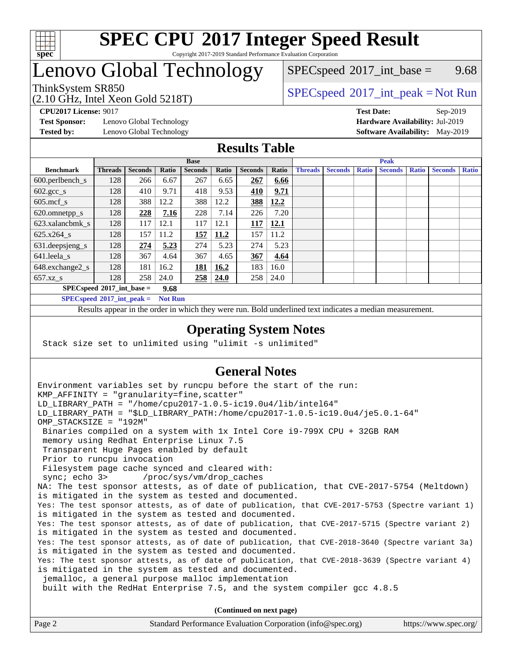

#### **[SPEC CPU](http://www.spec.org/auto/cpu2017/Docs/result-fields.html#SPECCPU2017IntegerSpeedResult)[2017 Integer Speed Result](http://www.spec.org/auto/cpu2017/Docs/result-fields.html#SPECCPU2017IntegerSpeedResult)** Copyright 2017-2019 Standard Performance Evaluation Corporation

## Lenovo Global Technology

 $SPECspeed^{\circ}2017\_int\_base =$  $SPECspeed^{\circ}2017\_int\_base =$  9.68

### ThinkSystem SR850<br>  $SPEC speed^{\circ}2017\_int\_peak = Not Run$

**[Test Sponsor:](http://www.spec.org/auto/cpu2017/Docs/result-fields.html#TestSponsor)** Lenovo Global Technology **[Hardware Availability:](http://www.spec.org/auto/cpu2017/Docs/result-fields.html#HardwareAvailability)** Jul-2019

(2.10 GHz, Intel Xeon Gold 5218T)

**[CPU2017 License:](http://www.spec.org/auto/cpu2017/Docs/result-fields.html#CPU2017License)** 9017 **[Test Date:](http://www.spec.org/auto/cpu2017/Docs/result-fields.html#TestDate)** Sep-2019 **[Tested by:](http://www.spec.org/auto/cpu2017/Docs/result-fields.html#Testedby)** Lenovo Global Technology **[Software Availability:](http://www.spec.org/auto/cpu2017/Docs/result-fields.html#SoftwareAvailability)** May-2019

#### **[Results Table](http://www.spec.org/auto/cpu2017/Docs/result-fields.html#ResultsTable)**

|                                            | <b>Base</b>    |                |       |                | <b>Peak</b> |                |       |                |                |              |                |              |                |              |
|--------------------------------------------|----------------|----------------|-------|----------------|-------------|----------------|-------|----------------|----------------|--------------|----------------|--------------|----------------|--------------|
| <b>Benchmark</b>                           | <b>Threads</b> | <b>Seconds</b> | Ratio | <b>Seconds</b> | Ratio       | <b>Seconds</b> | Ratio | <b>Threads</b> | <b>Seconds</b> | <b>Ratio</b> | <b>Seconds</b> | <b>Ratio</b> | <b>Seconds</b> | <b>Ratio</b> |
| $600.$ perlbench $\mathsf{S}$              | 128            | 266            | 6.67  | 267            | 6.65        | 267            | 6.66  |                |                |              |                |              |                |              |
| $602 \text{.} \text{gcc}\text{_<}$ s       | 128            | 410            | 9.71  | 418            | 9.53        | 410            | 9.71  |                |                |              |                |              |                |              |
| $605$ .mcf s                               | 128            | 388            | 12.2  | 388            | 12.2        | 388            | 12.2  |                |                |              |                |              |                |              |
| 620.omnetpp_s                              | 128            | 228            | 7.16  | 228            | 7.14        | 226            | 7.20  |                |                |              |                |              |                |              |
| 623.xalancbmk s                            | 128            | 117            | 12.1  | 117            | 12.1        | 117            | 12.1  |                |                |              |                |              |                |              |
| 625.x264 s                                 | 128            | 157            | 11.2  | 157            | 11.2        | 157            | 11.2  |                |                |              |                |              |                |              |
| 631.deepsjeng_s                            | 128            | 274            | 5.23  | 274            | 5.23        | 274            | 5.23  |                |                |              |                |              |                |              |
| $641$ .leela_s                             | 128            | 367            | 4.64  | 367            | 4.65        | 367            | 4.64  |                |                |              |                |              |                |              |
| 648.exchange2_s                            | 128            | 181            | 16.2  | <u>181</u>     | 16.2        | 183            | 16.0  |                |                |              |                |              |                |              |
| $657.xz$ s                                 | 128            | 258            | 24.0  | 258            | 24.0        | 258            | 24.0  |                |                |              |                |              |                |              |
| $SPECspeed^{\circ}2017$ int base =<br>9.68 |                |                |       |                |             |                |       |                |                |              |                |              |                |              |

**[SPECspeed](http://www.spec.org/auto/cpu2017/Docs/result-fields.html#SPECspeed2017intpeak)[2017\\_int\\_peak =](http://www.spec.org/auto/cpu2017/Docs/result-fields.html#SPECspeed2017intpeak) Not Run**

Results appear in the [order in which they were run.](http://www.spec.org/auto/cpu2017/Docs/result-fields.html#RunOrder) Bold underlined text [indicates a median measurement.](http://www.spec.org/auto/cpu2017/Docs/result-fields.html#Median)

#### **[Operating System Notes](http://www.spec.org/auto/cpu2017/Docs/result-fields.html#OperatingSystemNotes)**

Stack size set to unlimited using "ulimit -s unlimited"

### **[General Notes](http://www.spec.org/auto/cpu2017/Docs/result-fields.html#GeneralNotes)**

Environment variables set by runcpu before the start of the run: KMP AFFINITY = "granularity=fine, scatter" LD\_LIBRARY\_PATH = "/home/cpu2017-1.0.5-ic19.0u4/lib/intel64" LD\_LIBRARY\_PATH = "\$LD\_LIBRARY\_PATH:/home/cpu2017-1.0.5-ic19.0u4/je5.0.1-64" OMP\_STACKSIZE = "192M" Binaries compiled on a system with 1x Intel Core i9-799X CPU + 32GB RAM memory using Redhat Enterprise Linux 7.5 Transparent Huge Pages enabled by default Prior to runcpu invocation Filesystem page cache synced and cleared with: sync; echo 3> /proc/sys/vm/drop\_caches NA: The test sponsor attests, as of date of publication, that CVE-2017-5754 (Meltdown) is mitigated in the system as tested and documented. Yes: The test sponsor attests, as of date of publication, that CVE-2017-5753 (Spectre variant 1) is mitigated in the system as tested and documented. Yes: The test sponsor attests, as of date of publication, that CVE-2017-5715 (Spectre variant 2) is mitigated in the system as tested and documented. Yes: The test sponsor attests, as of date of publication, that CVE-2018-3640 (Spectre variant 3a) is mitigated in the system as tested and documented. Yes: The test sponsor attests, as of date of publication, that CVE-2018-3639 (Spectre variant 4) is mitigated in the system as tested and documented. jemalloc, a general purpose malloc implementation built with the RedHat Enterprise 7.5, and the system compiler gcc 4.8.5 **(Continued on next page)**

| Page 2 | Standard Performance Evaluation Corporation (info@spec.org) | https://www.spec.org/ |
|--------|-------------------------------------------------------------|-----------------------|
|--------|-------------------------------------------------------------|-----------------------|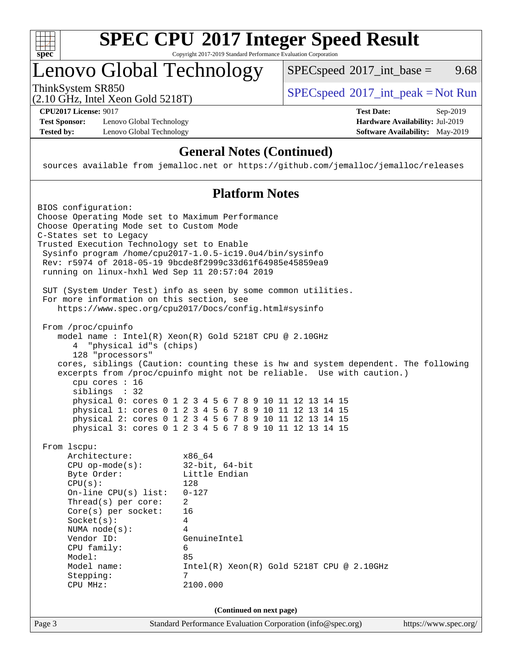

#### **[SPEC CPU](http://www.spec.org/auto/cpu2017/Docs/result-fields.html#SPECCPU2017IntegerSpeedResult)[2017 Integer Speed Result](http://www.spec.org/auto/cpu2017/Docs/result-fields.html#SPECCPU2017IntegerSpeedResult)** Copyright 2017-2019 Standard Performance Evaluation Corporation

## Lenovo Global Technology

ThinkSystem SR850<br>  $SPEC speed^{\circ}2017\_int\_peak = Not Run$  $SPECspeed^{\circ}2017\_int\_base =$  $SPECspeed^{\circ}2017\_int\_base =$  9.68

(2.10 GHz, Intel Xeon Gold 5218T)

**[Test Sponsor:](http://www.spec.org/auto/cpu2017/Docs/result-fields.html#TestSponsor)** Lenovo Global Technology **[Hardware Availability:](http://www.spec.org/auto/cpu2017/Docs/result-fields.html#HardwareAvailability)** Jul-2019 **[Tested by:](http://www.spec.org/auto/cpu2017/Docs/result-fields.html#Testedby)** Lenovo Global Technology **[Software Availability:](http://www.spec.org/auto/cpu2017/Docs/result-fields.html#SoftwareAvailability)** May-2019

**[CPU2017 License:](http://www.spec.org/auto/cpu2017/Docs/result-fields.html#CPU2017License)** 9017 **[Test Date:](http://www.spec.org/auto/cpu2017/Docs/result-fields.html#TestDate)** Sep-2019

### **[General Notes \(Continued\)](http://www.spec.org/auto/cpu2017/Docs/result-fields.html#GeneralNotes)**

sources available from jemalloc.net or <https://github.com/jemalloc/jemalloc/releases>

#### **[Platform Notes](http://www.spec.org/auto/cpu2017/Docs/result-fields.html#PlatformNotes)**

Page 3 Standard Performance Evaluation Corporation [\(info@spec.org\)](mailto:info@spec.org) <https://www.spec.org/> BIOS configuration: Choose Operating Mode set to Maximum Performance Choose Operating Mode set to Custom Mode C-States set to Legacy Trusted Execution Technology set to Enable Sysinfo program /home/cpu2017-1.0.5-ic19.0u4/bin/sysinfo Rev: r5974 of 2018-05-19 9bcde8f2999c33d61f64985e45859ea9 running on linux-hxhl Wed Sep 11 20:57:04 2019 SUT (System Under Test) info as seen by some common utilities. For more information on this section, see <https://www.spec.org/cpu2017/Docs/config.html#sysinfo> From /proc/cpuinfo model name : Intel(R) Xeon(R) Gold 5218T CPU @ 2.10GHz 4 "physical id"s (chips) 128 "processors" cores, siblings (Caution: counting these is hw and system dependent. The following excerpts from /proc/cpuinfo might not be reliable. Use with caution.) cpu cores : 16 siblings : 32 physical 0: cores 0 1 2 3 4 5 6 7 8 9 10 11 12 13 14 15 physical 1: cores 0 1 2 3 4 5 6 7 8 9 10 11 12 13 14 15 physical 2: cores 0 1 2 3 4 5 6 7 8 9 10 11 12 13 14 15 physical 3: cores 0 1 2 3 4 5 6 7 8 9 10 11 12 13 14 15 From lscpu: Architecture: x86\_64 CPU op-mode(s): 32-bit, 64-bit Byte Order: Little Endian CPU(s): 128 On-line CPU(s) list: 0-127 Thread(s) per core: 2 Core(s) per socket: 16 Socket(s): 4 NUMA node(s): 4 Vendor ID: GenuineIntel CPU family: 6 Model: 85 Model name: Intel(R) Xeon(R) Gold 5218T CPU @ 2.10GHz Stepping: 7 CPU MHz: 2100.000 **(Continued on next page)**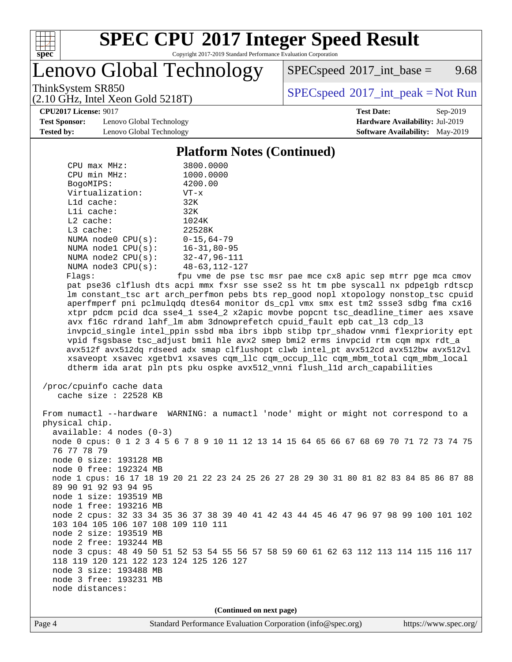

# **[SPEC CPU](http://www.spec.org/auto/cpu2017/Docs/result-fields.html#SPECCPU2017IntegerSpeedResult)[2017 Integer Speed Result](http://www.spec.org/auto/cpu2017/Docs/result-fields.html#SPECCPU2017IntegerSpeedResult)**

Copyright 2017-2019 Standard Performance Evaluation Corporation

Lenovo Global Technology

 $SPEC speed^{\circ}2017\_int\_base =$  9.68

ThinkSystem SR850<br>  $SPEC speed^{\circ}2017\_int\_peak = Not Run$ 

**[CPU2017 License:](http://www.spec.org/auto/cpu2017/Docs/result-fields.html#CPU2017License)** 9017 **[Test Date:](http://www.spec.org/auto/cpu2017/Docs/result-fields.html#TestDate)** Sep-2019

**[Test Sponsor:](http://www.spec.org/auto/cpu2017/Docs/result-fields.html#TestSponsor)** Lenovo Global Technology **[Hardware Availability:](http://www.spec.org/auto/cpu2017/Docs/result-fields.html#HardwareAvailability)** Jul-2019 **[Tested by:](http://www.spec.org/auto/cpu2017/Docs/result-fields.html#Testedby)** Lenovo Global Technology **[Software Availability:](http://www.spec.org/auto/cpu2017/Docs/result-fields.html#SoftwareAvailability)** May-2019

(2.10 GHz, Intel Xeon Gold 5218T)

#### **[Platform Notes \(Continued\)](http://www.spec.org/auto/cpu2017/Docs/result-fields.html#PlatformNotes)**

| $CPIJ$ max $MHz$ :      | 3800.0000            |
|-------------------------|----------------------|
| CPU min MHz:            | 1000.0000            |
| BogoMIPS:               | 4200.00              |
| Virtualization:         | $VT - x$             |
| $L1d$ cache:            | 32K                  |
| $L1i$ cache:            | 32K                  |
| $L2$ cache:             | 1024K                |
| $L3$ cache:             | 22528K               |
| NUMA $node0$ $CPU(s)$ : | $0 - 15, 64 - 79$    |
| NUMA $node1$ $CPU(s)$ : | $16 - 31, 80 - 95$   |
| NUMA $node2$ $CPU(s):$  | $32 - 47, 96 - 111$  |
| NUMA $node3$ $CPU(s)$ : | $48 - 63, 112 - 127$ |
| Flaqs:                  | fpu vme de pse       |

pse tsc msr pae mce cx8 apic sep mtrr pge mca cmov pat pse36 clflush dts acpi mmx fxsr sse sse2 ss ht tm pbe syscall nx pdpe1gb rdtscp lm constant\_tsc art arch\_perfmon pebs bts rep\_good nopl xtopology nonstop\_tsc cpuid aperfmperf pni pclmulqdq dtes64 monitor ds\_cpl vmx smx est tm2 ssse3 sdbg fma cx16 xtpr pdcm pcid dca sse4\_1 sse4\_2 x2apic movbe popcnt tsc\_deadline\_timer aes xsave avx f16c rdrand lahf\_lm abm 3dnowprefetch cpuid\_fault epb cat\_l3 cdp\_l3 invpcid\_single intel\_ppin ssbd mba ibrs ibpb stibp tpr\_shadow vnmi flexpriority ept vpid fsgsbase tsc\_adjust bmi1 hle avx2 smep bmi2 erms invpcid rtm cqm mpx rdt\_a avx512f avx512dq rdseed adx smap clflushopt clwb intel\_pt avx512cd avx512bw avx512vl xsaveopt xsavec xgetbv1 xsaves cqm\_llc cqm\_occup\_llc cqm\_mbm\_total cqm\_mbm\_local dtherm ida arat pln pts pku ospke avx512\_vnni flush\_l1d arch\_capabilities

```
 /proc/cpuinfo cache data
cache size : 22528 KB
```
 From numactl --hardware WARNING: a numactl 'node' might or might not correspond to a physical chip. available: 4 nodes (0-3) node 0 cpus: 0 1 2 3 4 5 6 7 8 9 10 11 12 13 14 15 64 65 66 67 68 69 70 71 72 73 74 75 76 77 78 79 node 0 size: 193128 MB node 0 free: 192324 MB node 1 cpus: 16 17 18 19 20 21 22 23 24 25 26 27 28 29 30 31 80 81 82 83 84 85 86 87 88 89 90 91 92 93 94 95 node 1 size: 193519 MB node 1 free: 193216 MB node 2 cpus: 32 33 34 35 36 37 38 39 40 41 42 43 44 45 46 47 96 97 98 99 100 101 102 103 104 105 106 107 108 109 110 111 node 2 size: 193519 MB node 2 free: 193244 MB node 3 cpus: 48 49 50 51 52 53 54 55 56 57 58 59 60 61 62 63 112 113 114 115 116 117 118 119 120 121 122 123 124 125 126 127 node 3 size: 193488 MB node 3 free: 193231 MB node distances:

**(Continued on next page)**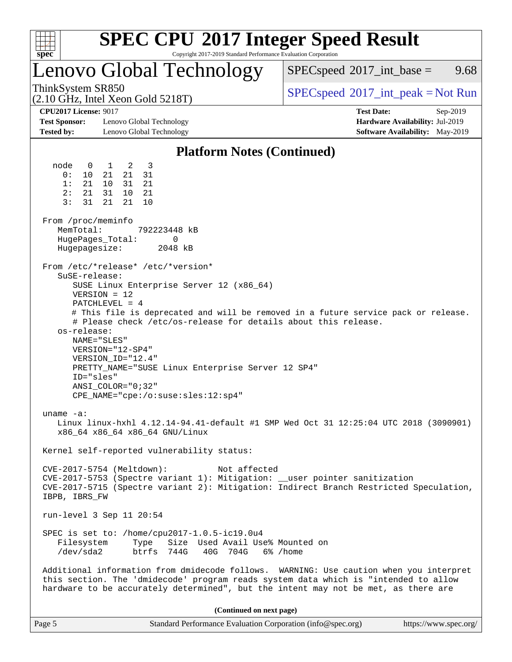| v.<br>ť<br>ù. |  |  |  |  |  |  |  |
|---------------|--|--|--|--|--|--|--|

# **[SPEC CPU](http://www.spec.org/auto/cpu2017/Docs/result-fields.html#SPECCPU2017IntegerSpeedResult)[2017 Integer Speed Result](http://www.spec.org/auto/cpu2017/Docs/result-fields.html#SPECCPU2017IntegerSpeedResult)**

Copyright 2017-2019 Standard Performance Evaluation Corporation

### Lenovo Global Technology

 $SPECspeed^{\circ}2017\_int\_base =$  $SPECspeed^{\circ}2017\_int\_base =$  9.68

(2.10 GHz, Intel Xeon Gold 5218T)

ThinkSystem SR850<br>  $SPEC speed^{\circ}2017\_int\_peak = Not Run$ 

**[CPU2017 License:](http://www.spec.org/auto/cpu2017/Docs/result-fields.html#CPU2017License)** 9017 **[Test Date:](http://www.spec.org/auto/cpu2017/Docs/result-fields.html#TestDate)** Sep-2019

**[Test Sponsor:](http://www.spec.org/auto/cpu2017/Docs/result-fields.html#TestSponsor)** Lenovo Global Technology **[Hardware Availability:](http://www.spec.org/auto/cpu2017/Docs/result-fields.html#HardwareAvailability)** Jul-2019 **[Tested by:](http://www.spec.org/auto/cpu2017/Docs/result-fields.html#Testedby)** Lenovo Global Technology **[Software Availability:](http://www.spec.org/auto/cpu2017/Docs/result-fields.html#SoftwareAvailability)** May-2019

#### **[Platform Notes \(Continued\)](http://www.spec.org/auto/cpu2017/Docs/result-fields.html#PlatformNotes)**

 node 0 1 2 3 0: 10 21 21 31 1: 21 10 31 21 2: 21 31 10 21 3: 31 21 21 10 From /proc/meminfo MemTotal: 792223448 kB HugePages\_Total: 0 Hugepagesize: 2048 kB From /etc/\*release\* /etc/\*version\* SuSE-release: SUSE Linux Enterprise Server 12 (x86\_64) VERSION = 12 PATCHLEVEL = 4 # This file is deprecated and will be removed in a future service pack or release. # Please check /etc/os-release for details about this release. os-release: NAME="SLES" VERSION="12-SP4" VERSION\_ID="12.4" PRETTY\_NAME="SUSE Linux Enterprise Server 12 SP4" ID="sles" ANSI\_COLOR="0;32" CPE\_NAME="cpe:/o:suse:sles:12:sp4" uname -a: Linux linux-hxhl 4.12.14-94.41-default #1 SMP Wed Oct 31 12:25:04 UTC 2018 (3090901) x86\_64 x86\_64 x86\_64 GNU/Linux Kernel self-reported vulnerability status: CVE-2017-5754 (Meltdown): Not affected CVE-2017-5753 (Spectre variant 1): Mitigation: \_\_user pointer sanitization CVE-2017-5715 (Spectre variant 2): Mitigation: Indirect Branch Restricted Speculation, IBPB, IBRS\_FW run-level 3 Sep 11 20:54 SPEC is set to: /home/cpu2017-1.0.5-ic19.0u4 Filesystem Type Size Used Avail Use% Mounted on /dev/sda2 btrfs 744G 40G 704G 6% /home Additional information from dmidecode follows. WARNING: Use caution when you interpret this section. The 'dmidecode' program reads system data which is "intended to allow hardware to be accurately determined", but the intent may not be met, as there are **(Continued on next page)**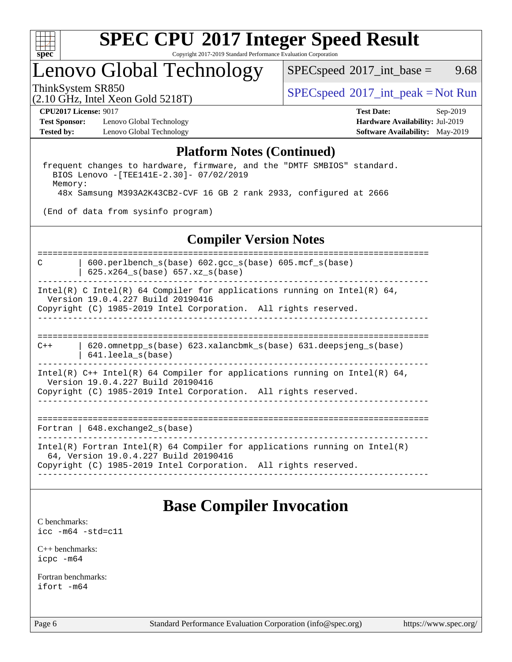

# **[SPEC CPU](http://www.spec.org/auto/cpu2017/Docs/result-fields.html#SPECCPU2017IntegerSpeedResult)[2017 Integer Speed Result](http://www.spec.org/auto/cpu2017/Docs/result-fields.html#SPECCPU2017IntegerSpeedResult)**

Copyright 2017-2019 Standard Performance Evaluation Corporation

## Lenovo Global Technology

 $SPECspeed^{\circ}2017\_int\_base =$  $SPECspeed^{\circ}2017\_int\_base =$  9.68

(2.10 GHz, Intel Xeon Gold 5218T)

ThinkSystem SR850<br>  $SPEC speed^{\circ}2017\_int\_peak = Not Run$ 

**[Test Sponsor:](http://www.spec.org/auto/cpu2017/Docs/result-fields.html#TestSponsor)** Lenovo Global Technology **[Hardware Availability:](http://www.spec.org/auto/cpu2017/Docs/result-fields.html#HardwareAvailability)** Jul-2019 **[Tested by:](http://www.spec.org/auto/cpu2017/Docs/result-fields.html#Testedby)** Lenovo Global Technology **[Software Availability:](http://www.spec.org/auto/cpu2017/Docs/result-fields.html#SoftwareAvailability)** May-2019

**[CPU2017 License:](http://www.spec.org/auto/cpu2017/Docs/result-fields.html#CPU2017License)** 9017 **[Test Date:](http://www.spec.org/auto/cpu2017/Docs/result-fields.html#TestDate)** Sep-2019

#### **[Platform Notes \(Continued\)](http://www.spec.org/auto/cpu2017/Docs/result-fields.html#PlatformNotes)**

 frequent changes to hardware, firmware, and the "DMTF SMBIOS" standard. BIOS Lenovo -[TEE141E-2.30]- 07/02/2019 Memory: 48x Samsung M393A2K43CB2-CVF 16 GB 2 rank 2933, configured at 2666

(End of data from sysinfo program)

#### **[Compiler Version Notes](http://www.spec.org/auto/cpu2017/Docs/result-fields.html#CompilerVersionNotes)**

==============================================================================

C | 600.perlbench\_s(base) 602.gcc\_s(base) 605.mcf\_s(base) | 625.x264\_s(base) 657.xz\_s(base)

------------------------------------------------------------------------------ Intel(R) C Intel(R) 64 Compiler for applications running on Intel(R)  $64$ ,

 Version 19.0.4.227 Build 20190416 Copyright (C) 1985-2019 Intel Corporation. All rights reserved. ------------------------------------------------------------------------------

============================================================================== C++ | 620.omnetpp\_s(base) 623.xalancbmk\_s(base) 631.deepsjeng\_s(base) | 641.leela\_s(base)

------------------------------------------------------------------------------ Intel(R) C++ Intel(R) 64 Compiler for applications running on Intel(R) 64, Version 19.0.4.227 Build 20190416 Copyright (C) 1985-2019 Intel Corporation. All rights reserved.

------------------------------------------------------------------------------

==============================================================================

Fortran | 648.exchange2\_s(base)

------------------------------------------------------------------------------ Intel(R) Fortran Intel(R) 64 Compiler for applications running on Intel(R) 64, Version 19.0.4.227 Build 20190416 Copyright (C) 1985-2019 Intel Corporation. All rights reserved. ------------------------------------------------------------------------------

### **[Base Compiler Invocation](http://www.spec.org/auto/cpu2017/Docs/result-fields.html#BaseCompilerInvocation)**

[C benchmarks](http://www.spec.org/auto/cpu2017/Docs/result-fields.html#Cbenchmarks): [icc -m64 -std=c11](http://www.spec.org/cpu2017/results/res2019q4/cpu2017-20190916-18148.flags.html#user_CCbase_intel_icc_64bit_c11_33ee0cdaae7deeeab2a9725423ba97205ce30f63b9926c2519791662299b76a0318f32ddfffdc46587804de3178b4f9328c46fa7c2b0cd779d7a61945c91cd35)

[C++ benchmarks:](http://www.spec.org/auto/cpu2017/Docs/result-fields.html#CXXbenchmarks) [icpc -m64](http://www.spec.org/cpu2017/results/res2019q4/cpu2017-20190916-18148.flags.html#user_CXXbase_intel_icpc_64bit_4ecb2543ae3f1412ef961e0650ca070fec7b7afdcd6ed48761b84423119d1bf6bdf5cad15b44d48e7256388bc77273b966e5eb805aefd121eb22e9299b2ec9d9)

[Fortran benchmarks](http://www.spec.org/auto/cpu2017/Docs/result-fields.html#Fortranbenchmarks): [ifort -m64](http://www.spec.org/cpu2017/results/res2019q4/cpu2017-20190916-18148.flags.html#user_FCbase_intel_ifort_64bit_24f2bb282fbaeffd6157abe4f878425411749daecae9a33200eee2bee2fe76f3b89351d69a8130dd5949958ce389cf37ff59a95e7a40d588e8d3a57e0c3fd751)